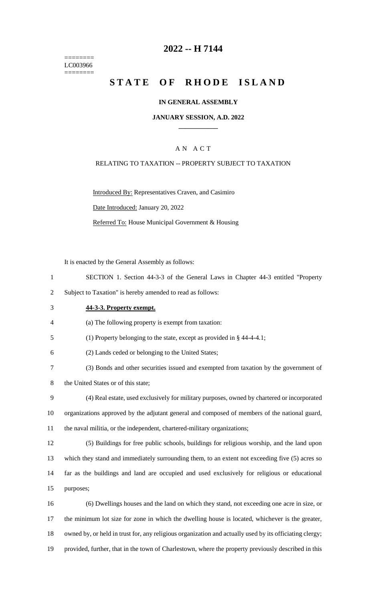======== LC003966 ========

## **2022 -- H 7144**

# **STATE OF RHODE ISLAND**

#### **IN GENERAL ASSEMBLY**

#### **JANUARY SESSION, A.D. 2022 \_\_\_\_\_\_\_\_\_\_\_\_**

### A N A C T

#### RELATING TO TAXATION -- PROPERTY SUBJECT TO TAXATION

Introduced By: Representatives Craven, and Casimiro Date Introduced: January 20, 2022 Referred To: House Municipal Government & Housing

It is enacted by the General Assembly as follows:

- 1 SECTION 1. Section 44-3-3 of the General Laws in Chapter 44-3 entitled "Property
- 2 Subject to Taxation" is hereby amended to read as follows:
- 

### 3 **44-3-3. Property exempt.**

- 4 (a) The following property is exempt from taxation:
- 5 (1) Property belonging to the state, except as provided in § 44-4-4.1;
- 6 (2) Lands ceded or belonging to the United States;
- 7 (3) Bonds and other securities issued and exempted from taxation by the government of
- 8 the United States or of this state;
- 9 (4) Real estate, used exclusively for military purposes, owned by chartered or incorporated 10 organizations approved by the adjutant general and composed of members of the national guard, 11 the naval militia, or the independent, chartered-military organizations;
- 12 (5) Buildings for free public schools, buildings for religious worship, and the land upon 13 which they stand and immediately surrounding them, to an extent not exceeding five (5) acres so 14 far as the buildings and land are occupied and used exclusively for religious or educational 15 purposes;
- 16 (6) Dwellings houses and the land on which they stand, not exceeding one acre in size, or 17 the minimum lot size for zone in which the dwelling house is located, whichever is the greater, 18 owned by, or held in trust for, any religious organization and actually used by its officiating clergy; 19 provided, further, that in the town of Charlestown, where the property previously described in this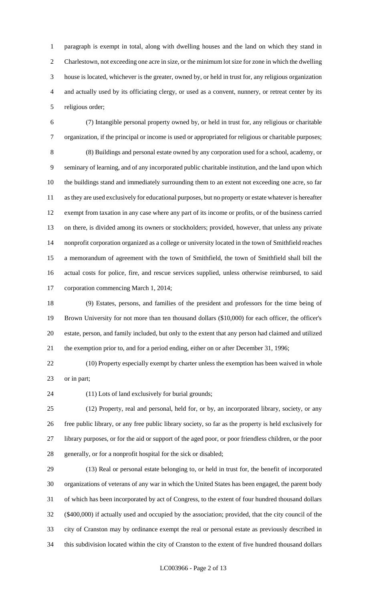paragraph is exempt in total, along with dwelling houses and the land on which they stand in Charlestown, not exceeding one acre in size, or the minimum lot size for zone in which the dwelling house is located, whichever is the greater, owned by, or held in trust for, any religious organization and actually used by its officiating clergy, or used as a convent, nunnery, or retreat center by its religious order;

 (7) Intangible personal property owned by, or held in trust for, any religious or charitable organization, if the principal or income is used or appropriated for religious or charitable purposes; (8) Buildings and personal estate owned by any corporation used for a school, academy, or seminary of learning, and of any incorporated public charitable institution, and the land upon which the buildings stand and immediately surrounding them to an extent not exceeding one acre, so far as they are used exclusively for educational purposes, but no property or estate whatever is hereafter exempt from taxation in any case where any part of its income or profits, or of the business carried on there, is divided among its owners or stockholders; provided, however, that unless any private nonprofit corporation organized as a college or university located in the town of Smithfield reaches a memorandum of agreement with the town of Smithfield, the town of Smithfield shall bill the actual costs for police, fire, and rescue services supplied, unless otherwise reimbursed, to said corporation commencing March 1, 2014;

 (9) Estates, persons, and families of the president and professors for the time being of Brown University for not more than ten thousand dollars (\$10,000) for each officer, the officer's estate, person, and family included, but only to the extent that any person had claimed and utilized the exemption prior to, and for a period ending, either on or after December 31, 1996;

 (10) Property especially exempt by charter unless the exemption has been waived in whole or in part;

(11) Lots of land exclusively for burial grounds;

 (12) Property, real and personal, held for, or by, an incorporated library, society, or any free public library, or any free public library society, so far as the property is held exclusively for library purposes, or for the aid or support of the aged poor, or poor friendless children, or the poor generally, or for a nonprofit hospital for the sick or disabled;

 (13) Real or personal estate belonging to, or held in trust for, the benefit of incorporated organizations of veterans of any war in which the United States has been engaged, the parent body of which has been incorporated by act of Congress, to the extent of four hundred thousand dollars (\$400,000) if actually used and occupied by the association; provided, that the city council of the city of Cranston may by ordinance exempt the real or personal estate as previously described in this subdivision located within the city of Cranston to the extent of five hundred thousand dollars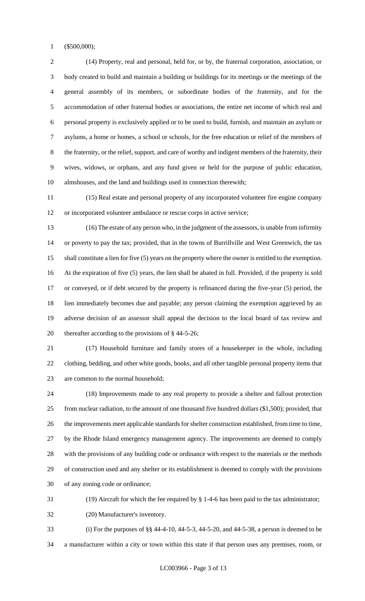(\$500,000);

 (14) Property, real and personal, held for, or by, the fraternal corporation, association, or body created to build and maintain a building or buildings for its meetings or the meetings of the general assembly of its members, or subordinate bodies of the fraternity, and for the accommodation of other fraternal bodies or associations, the entire net income of which real and personal property is exclusively applied or to be used to build, furnish, and maintain an asylum or asylums, a home or homes, a school or schools, for the free education or relief of the members of the fraternity, or the relief, support, and care of worthy and indigent members of the fraternity, their wives, widows, or orphans, and any fund given or held for the purpose of public education, almshouses, and the land and buildings used in connection therewith;

 (15) Real estate and personal property of any incorporated volunteer fire engine company or incorporated volunteer ambulance or rescue corps in active service;

 (16) The estate of any person who, in the judgment of the assessors, is unable from infirmity or poverty to pay the tax; provided, that in the towns of Burrillville and West Greenwich, the tax shall constitute a lien for five (5) years on the property where the owner is entitled to the exemption. At the expiration of five (5) years, the lien shall be abated in full. Provided, if the property is sold or conveyed, or if debt secured by the property is refinanced during the five-year (5) period, the lien immediately becomes due and payable; any person claiming the exemption aggrieved by an adverse decision of an assessor shall appeal the decision to the local board of tax review and thereafter according to the provisions of § 44-5-26;

 (17) Household furniture and family stores of a housekeeper in the whole, including clothing, bedding, and other white goods, books, and all other tangible personal property items that are common to the normal household;

 (18) Improvements made to any real property to provide a shelter and fallout protection from nuclear radiation, to the amount of one thousand five hundred dollars (\$1,500); provided, that the improvements meet applicable standards for shelter construction established, from time to time, by the Rhode Island emergency management agency. The improvements are deemed to comply with the provisions of any building code or ordinance with respect to the materials or the methods of construction used and any shelter or its establishment is deemed to comply with the provisions of any zoning code or ordinance;

(19) Aircraft for which the fee required by § 1-4-6 has been paid to the tax administrator;

(20) Manufacturer's inventory.

 (i) For the purposes of §§ 44-4-10, 44-5-3, 44-5-20, and 44-5-38, a person is deemed to be a manufacturer within a city or town within this state if that person uses any premises, room, or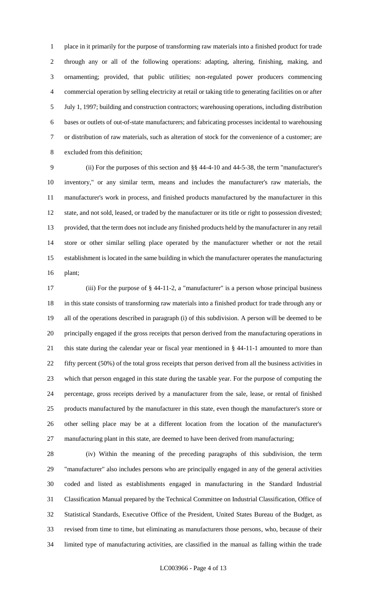place in it primarily for the purpose of transforming raw materials into a finished product for trade through any or all of the following operations: adapting, altering, finishing, making, and ornamenting; provided, that public utilities; non-regulated power producers commencing commercial operation by selling electricity at retail or taking title to generating facilities on or after July 1, 1997; building and construction contractors; warehousing operations, including distribution bases or outlets of out-of-state manufacturers; and fabricating processes incidental to warehousing or distribution of raw materials, such as alteration of stock for the convenience of a customer; are excluded from this definition;

 (ii) For the purposes of this section and §§ 44-4-10 and 44-5-38, the term "manufacturer's inventory," or any similar term, means and includes the manufacturer's raw materials, the manufacturer's work in process, and finished products manufactured by the manufacturer in this state, and not sold, leased, or traded by the manufacturer or its title or right to possession divested; provided, that the term does not include any finished products held by the manufacturer in any retail store or other similar selling place operated by the manufacturer whether or not the retail establishment is located in the same building in which the manufacturer operates the manufacturing plant;

 (iii) For the purpose of § 44-11-2, a "manufacturer" is a person whose principal business in this state consists of transforming raw materials into a finished product for trade through any or all of the operations described in paragraph (i) of this subdivision. A person will be deemed to be principally engaged if the gross receipts that person derived from the manufacturing operations in this state during the calendar year or fiscal year mentioned in § 44-11-1 amounted to more than fifty percent (50%) of the total gross receipts that person derived from all the business activities in which that person engaged in this state during the taxable year. For the purpose of computing the percentage, gross receipts derived by a manufacturer from the sale, lease, or rental of finished products manufactured by the manufacturer in this state, even though the manufacturer's store or other selling place may be at a different location from the location of the manufacturer's manufacturing plant in this state, are deemed to have been derived from manufacturing;

 (iv) Within the meaning of the preceding paragraphs of this subdivision, the term "manufacturer" also includes persons who are principally engaged in any of the general activities coded and listed as establishments engaged in manufacturing in the Standard Industrial Classification Manual prepared by the Technical Committee on Industrial Classification, Office of Statistical Standards, Executive Office of the President, United States Bureau of the Budget, as revised from time to time, but eliminating as manufacturers those persons, who, because of their limited type of manufacturing activities, are classified in the manual as falling within the trade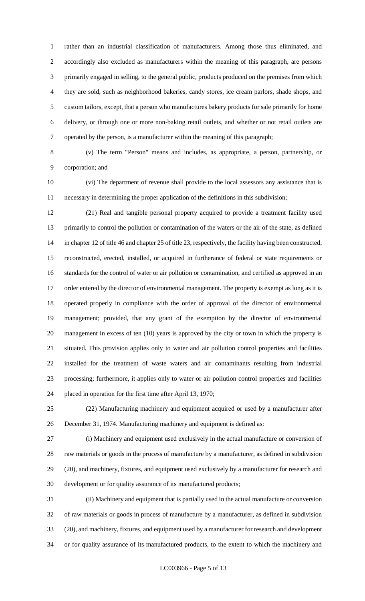rather than an industrial classification of manufacturers. Among those thus eliminated, and accordingly also excluded as manufacturers within the meaning of this paragraph, are persons primarily engaged in selling, to the general public, products produced on the premises from which they are sold, such as neighborhood bakeries, candy stores, ice cream parlors, shade shops, and custom tailors, except, that a person who manufactures bakery products for sale primarily for home delivery, or through one or more non-baking retail outlets, and whether or not retail outlets are operated by the person, is a manufacturer within the meaning of this paragraph;

 (v) The term "Person" means and includes, as appropriate, a person, partnership, or corporation; and

 (vi) The department of revenue shall provide to the local assessors any assistance that is necessary in determining the proper application of the definitions in this subdivision;

 (21) Real and tangible personal property acquired to provide a treatment facility used primarily to control the pollution or contamination of the waters or the air of the state, as defined in chapter 12 of title 46 and chapter 25 of title 23, respectively, the facility having been constructed, reconstructed, erected, installed, or acquired in furtherance of federal or state requirements or standards for the control of water or air pollution or contamination, and certified as approved in an 17 order entered by the director of environmental management. The property is exempt as long as it is operated properly in compliance with the order of approval of the director of environmental management; provided, that any grant of the exemption by the director of environmental management in excess of ten (10) years is approved by the city or town in which the property is situated. This provision applies only to water and air pollution control properties and facilities installed for the treatment of waste waters and air contaminants resulting from industrial processing; furthermore, it applies only to water or air pollution control properties and facilities placed in operation for the first time after April 13, 1970;

 (22) Manufacturing machinery and equipment acquired or used by a manufacturer after December 31, 1974. Manufacturing machinery and equipment is defined as:

 (i) Machinery and equipment used exclusively in the actual manufacture or conversion of raw materials or goods in the process of manufacture by a manufacturer, as defined in subdivision (20), and machinery, fixtures, and equipment used exclusively by a manufacturer for research and development or for quality assurance of its manufactured products;

 (ii) Machinery and equipment that is partially used in the actual manufacture or conversion of raw materials or goods in process of manufacture by a manufacturer, as defined in subdivision (20), and machinery, fixtures, and equipment used by a manufacturer for research and development or for quality assurance of its manufactured products, to the extent to which the machinery and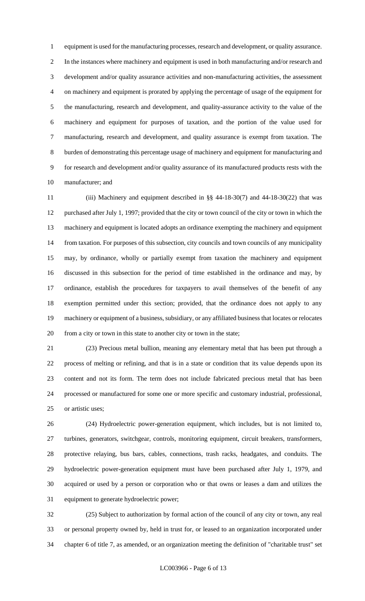equipment is used for the manufacturing processes, research and development, or quality assurance. In the instances where machinery and equipment is used in both manufacturing and/or research and development and/or quality assurance activities and non-manufacturing activities, the assessment on machinery and equipment is prorated by applying the percentage of usage of the equipment for the manufacturing, research and development, and quality-assurance activity to the value of the machinery and equipment for purposes of taxation, and the portion of the value used for manufacturing, research and development, and quality assurance is exempt from taxation. The burden of demonstrating this percentage usage of machinery and equipment for manufacturing and for research and development and/or quality assurance of its manufactured products rests with the manufacturer; and

 (iii) Machinery and equipment described in §§ 44-18-30(7) and 44-18-30(22) that was purchased after July 1, 1997; provided that the city or town council of the city or town in which the machinery and equipment is located adopts an ordinance exempting the machinery and equipment from taxation. For purposes of this subsection, city councils and town councils of any municipality may, by ordinance, wholly or partially exempt from taxation the machinery and equipment discussed in this subsection for the period of time established in the ordinance and may, by ordinance, establish the procedures for taxpayers to avail themselves of the benefit of any exemption permitted under this section; provided, that the ordinance does not apply to any machinery or equipment of a business, subsidiary, or any affiliated business that locates or relocates from a city or town in this state to another city or town in the state;

 (23) Precious metal bullion, meaning any elementary metal that has been put through a process of melting or refining, and that is in a state or condition that its value depends upon its content and not its form. The term does not include fabricated precious metal that has been processed or manufactured for some one or more specific and customary industrial, professional, or artistic uses;

 (24) Hydroelectric power-generation equipment, which includes, but is not limited to, turbines, generators, switchgear, controls, monitoring equipment, circuit breakers, transformers, protective relaying, bus bars, cables, connections, trash racks, headgates, and conduits. The hydroelectric power-generation equipment must have been purchased after July 1, 1979, and acquired or used by a person or corporation who or that owns or leases a dam and utilizes the equipment to generate hydroelectric power;

 (25) Subject to authorization by formal action of the council of any city or town, any real or personal property owned by, held in trust for, or leased to an organization incorporated under chapter 6 of title 7, as amended, or an organization meeting the definition of "charitable trust" set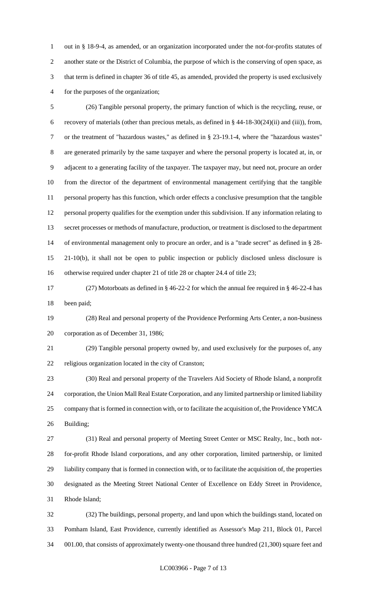out in § 18-9-4, as amended, or an organization incorporated under the not-for-profits statutes of another state or the District of Columbia, the purpose of which is the conserving of open space, as that term is defined in chapter 36 of title 45, as amended, provided the property is used exclusively for the purposes of the organization;

 (26) Tangible personal property, the primary function of which is the recycling, reuse, or recovery of materials (other than precious metals, as defined in § 44-18-30(24)(ii) and (iii)), from, or the treatment of "hazardous wastes," as defined in § 23-19.1-4, where the "hazardous wastes" are generated primarily by the same taxpayer and where the personal property is located at, in, or adjacent to a generating facility of the taxpayer. The taxpayer may, but need not, procure an order from the director of the department of environmental management certifying that the tangible personal property has this function, which order effects a conclusive presumption that the tangible personal property qualifies for the exemption under this subdivision. If any information relating to secret processes or methods of manufacture, production, or treatment is disclosed to the department of environmental management only to procure an order, and is a "trade secret" as defined in § 28- 21-10(b), it shall not be open to public inspection or publicly disclosed unless disclosure is otherwise required under chapter 21 of title 28 or chapter 24.4 of title 23;

 (27) Motorboats as defined in § 46-22-2 for which the annual fee required in § 46-22-4 has been paid;

 (28) Real and personal property of the Providence Performing Arts Center, a non-business corporation as of December 31, 1986;

 (29) Tangible personal property owned by, and used exclusively for the purposes of, any religious organization located in the city of Cranston;

 (30) Real and personal property of the Travelers Aid Society of Rhode Island, a nonprofit corporation, the Union Mall Real Estate Corporation, and any limited partnership or limited liability company that is formed in connection with, or to facilitate the acquisition of, the Providence YMCA Building;

 (31) Real and personal property of Meeting Street Center or MSC Realty, Inc., both not- for-profit Rhode Island corporations, and any other corporation, limited partnership, or limited liability company that is formed in connection with, or to facilitate the acquisition of, the properties designated as the Meeting Street National Center of Excellence on Eddy Street in Providence, Rhode Island;

 (32) The buildings, personal property, and land upon which the buildings stand, located on Pomham Island, East Providence, currently identified as Assessor's Map 211, Block 01, Parcel 001.00, that consists of approximately twenty-one thousand three hundred (21,300) square feet and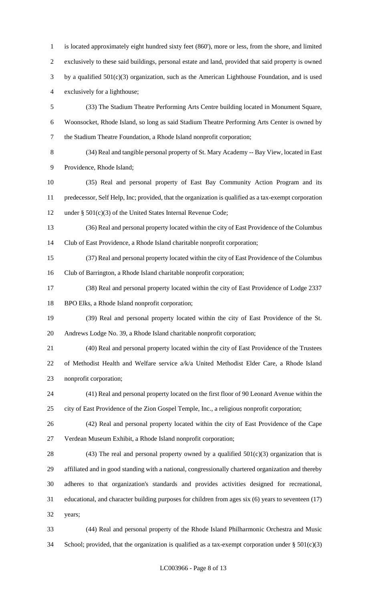is located approximately eight hundred sixty feet (860'), more or less, from the shore, and limited exclusively to these said buildings, personal estate and land, provided that said property is owned by a qualified 501(c)(3) organization, such as the American Lighthouse Foundation, and is used exclusively for a lighthouse; (33) The Stadium Theatre Performing Arts Centre building located in Monument Square, Woonsocket, Rhode Island, so long as said Stadium Theatre Performing Arts Center is owned by the Stadium Theatre Foundation, a Rhode Island nonprofit corporation;

 (34) Real and tangible personal property of St. Mary Academy -- Bay View, located in East Providence, Rhode Island;

 (35) Real and personal property of East Bay Community Action Program and its predecessor, Self Help, Inc; provided, that the organization is qualified as a tax-exempt corporation under § 501(c)(3) of the United States Internal Revenue Code;

 (36) Real and personal property located within the city of East Providence of the Columbus Club of East Providence, a Rhode Island charitable nonprofit corporation;

 (37) Real and personal property located within the city of East Providence of the Columbus Club of Barrington, a Rhode Island charitable nonprofit corporation;

 (38) Real and personal property located within the city of East Providence of Lodge 2337 BPO Elks, a Rhode Island nonprofit corporation;

 (39) Real and personal property located within the city of East Providence of the St. Andrews Lodge No. 39, a Rhode Island charitable nonprofit corporation;

 (40) Real and personal property located within the city of East Providence of the Trustees of Methodist Health and Welfare service a/k/a United Methodist Elder Care, a Rhode Island nonprofit corporation;

 (41) Real and personal property located on the first floor of 90 Leonard Avenue within the city of East Providence of the Zion Gospel Temple, Inc., a religious nonprofit corporation;

 (42) Real and personal property located within the city of East Providence of the Cape Verdean Museum Exhibit, a Rhode Island nonprofit corporation;

28 (43) The real and personal property owned by a qualified  $501(c)(3)$  organization that is affiliated and in good standing with a national, congressionally chartered organization and thereby adheres to that organization's standards and provides activities designed for recreational, educational, and character building purposes for children from ages six (6) years to seventeen (17) years;

 (44) Real and personal property of the Rhode Island Philharmonic Orchestra and Music 34 School; provided, that the organization is qualified as a tax-exempt corporation under  $\S 501(c)(3)$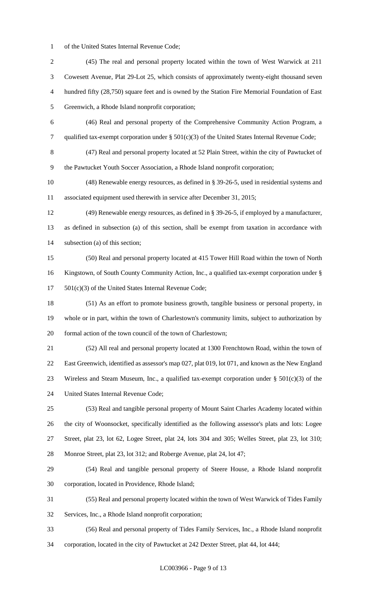of the United States Internal Revenue Code;

 (45) The real and personal property located within the town of West Warwick at 211 Cowesett Avenue, Plat 29-Lot 25, which consists of approximately twenty-eight thousand seven hundred fifty (28,750) square feet and is owned by the Station Fire Memorial Foundation of East Greenwich, a Rhode Island nonprofit corporation; (46) Real and personal property of the Comprehensive Community Action Program, a qualified tax-exempt corporation under § 501(c)(3) of the United States Internal Revenue Code; (47) Real and personal property located at 52 Plain Street, within the city of Pawtucket of the Pawtucket Youth Soccer Association, a Rhode Island nonprofit corporation; (48) Renewable energy resources, as defined in § 39-26-5, used in residential systems and associated equipment used therewith in service after December 31, 2015; (49) Renewable energy resources, as defined in § 39-26-5, if employed by a manufacturer, as defined in subsection (a) of this section, shall be exempt from taxation in accordance with subsection (a) of this section; (50) Real and personal property located at 415 Tower Hill Road within the town of North Kingstown, of South County Community Action, Inc., a qualified tax-exempt corporation under § 501(c)(3) of the United States Internal Revenue Code; (51) As an effort to promote business growth, tangible business or personal property, in whole or in part, within the town of Charlestown's community limits, subject to authorization by formal action of the town council of the town of Charlestown; (52) All real and personal property located at 1300 Frenchtown Road, within the town of East Greenwich, identified as assessor's map 027, plat 019, lot 071, and known as the New England 23 Wireless and Steam Museum, Inc., a qualified tax-exempt corporation under  $\S 501(c)(3)$  of the United States Internal Revenue Code; (53) Real and tangible personal property of Mount Saint Charles Academy located within the city of Woonsocket, specifically identified as the following assessor's plats and lots: Logee Street, plat 23, lot 62, Logee Street, plat 24, lots 304 and 305; Welles Street, plat 23, lot 310; Monroe Street, plat 23, lot 312; and Roberge Avenue, plat 24, lot 47; (54) Real and tangible personal property of Steere House, a Rhode Island nonprofit corporation, located in Providence, Rhode Island; (55) Real and personal property located within the town of West Warwick of Tides Family Services, Inc., a Rhode Island nonprofit corporation; (56) Real and personal property of Tides Family Services, Inc., a Rhode Island nonprofit corporation, located in the city of Pawtucket at 242 Dexter Street, plat 44, lot 444;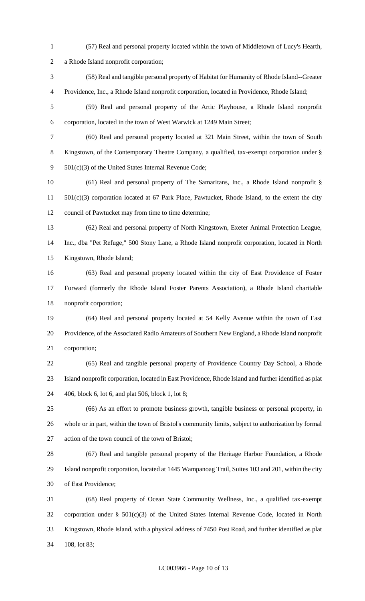- (57) Real and personal property located within the town of Middletown of Lucy's Hearth, a Rhode Island nonprofit corporation; (58) Real and tangible personal property of Habitat for Humanity of Rhode Island--Greater Providence, Inc., a Rhode Island nonprofit corporation, located in Providence, Rhode Island; (59) Real and personal property of the Artic Playhouse, a Rhode Island nonprofit corporation, located in the town of West Warwick at 1249 Main Street; (60) Real and personal property located at 321 Main Street, within the town of South Kingstown, of the Contemporary Theatre Company, a qualified, tax-exempt corporation under § 501(c)(3) of the United States Internal Revenue Code; (61) Real and personal property of The Samaritans, Inc., a Rhode Island nonprofit § 501(c)(3) corporation located at 67 Park Place, Pawtucket, Rhode Island, to the extent the city council of Pawtucket may from time to time determine; (62) Real and personal property of North Kingstown, Exeter Animal Protection League, Inc., dba "Pet Refuge," 500 Stony Lane, a Rhode Island nonprofit corporation, located in North Kingstown, Rhode Island; (63) Real and personal property located within the city of East Providence of Foster Forward (formerly the Rhode Island Foster Parents Association), a Rhode Island charitable nonprofit corporation; (64) Real and personal property located at 54 Kelly Avenue within the town of East Providence, of the Associated Radio Amateurs of Southern New England, a Rhode Island nonprofit corporation; (65) Real and tangible personal property of Providence Country Day School, a Rhode Island nonprofit corporation, located in East Providence, Rhode Island and further identified as plat 406, block 6, lot 6, and plat 506, block 1, lot 8; (66) As an effort to promote business growth, tangible business or personal property, in whole or in part, within the town of Bristol's community limits, subject to authorization by formal action of the town council of the town of Bristol; (67) Real and tangible personal property of the Heritage Harbor Foundation, a Rhode Island nonprofit corporation, located at 1445 Wampanoag Trail, Suites 103 and 201, within the city of East Providence; (68) Real property of Ocean State Community Wellness, Inc., a qualified tax-exempt corporation under § 501(c)(3) of the United States Internal Revenue Code, located in North Kingstown, Rhode Island, with a physical address of 7450 Post Road, and further identified as plat
- 108, lot 83;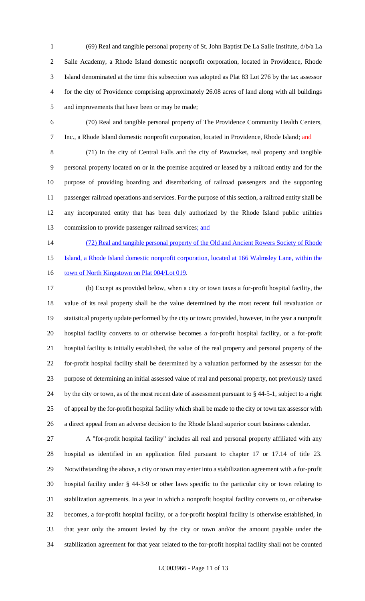(69) Real and tangible personal property of St. John Baptist De La Salle Institute, d/b/a La Salle Academy, a Rhode Island domestic nonprofit corporation, located in Providence, Rhode Island denominated at the time this subsection was adopted as Plat 83 Lot 276 by the tax assessor for the city of Providence comprising approximately 26.08 acres of land along with all buildings and improvements that have been or may be made;

 (70) Real and tangible personal property of The Providence Community Health Centers, 7 Inc., a Rhode Island domestic nonprofit corporation, located in Providence, Rhode Island; and

 (71) In the city of Central Falls and the city of Pawtucket, real property and tangible personal property located on or in the premise acquired or leased by a railroad entity and for the purpose of providing boarding and disembarking of railroad passengers and the supporting passenger railroad operations and services. For the purpose of this section, a railroad entity shall be any incorporated entity that has been duly authorized by the Rhode Island public utilities 13 commission to provide passenger railroad services; and

14 (72) Real and tangible personal property of the Old and Ancient Rowers Society of Rhode

Island, a Rhode Island domestic nonprofit corporation, located at 166 Walmsley Lane, within the

16 town of North Kingstown on Plat 004/Lot 019.

 (b) Except as provided below, when a city or town taxes a for-profit hospital facility, the value of its real property shall be the value determined by the most recent full revaluation or statistical property update performed by the city or town; provided, however, in the year a nonprofit hospital facility converts to or otherwise becomes a for-profit hospital facility, or a for-profit hospital facility is initially established, the value of the real property and personal property of the for-profit hospital facility shall be determined by a valuation performed by the assessor for the purpose of determining an initial assessed value of real and personal property, not previously taxed by the city or town, as of the most recent date of assessment pursuant to § 44-5-1, subject to a right of appeal by the for-profit hospital facility which shall be made to the city or town tax assessor with a direct appeal from an adverse decision to the Rhode Island superior court business calendar.

 A "for-profit hospital facility" includes all real and personal property affiliated with any hospital as identified in an application filed pursuant to chapter 17 or 17.14 of title 23. Notwithstanding the above, a city or town may enter into a stabilization agreement with a for-profit hospital facility under § 44-3-9 or other laws specific to the particular city or town relating to stabilization agreements. In a year in which a nonprofit hospital facility converts to, or otherwise becomes, a for-profit hospital facility, or a for-profit hospital facility is otherwise established, in that year only the amount levied by the city or town and/or the amount payable under the stabilization agreement for that year related to the for-profit hospital facility shall not be counted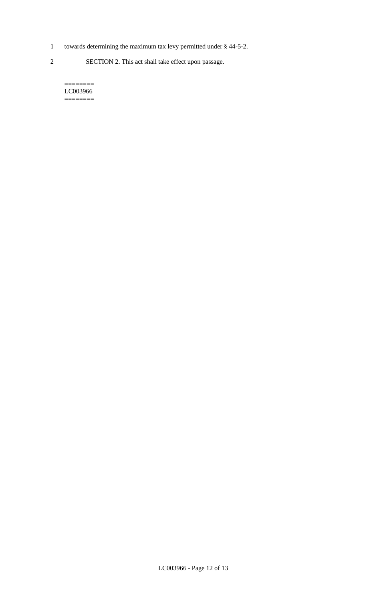- 1 towards determining the maximum tax levy permitted under § 44-5-2.
- 2 SECTION 2. This act shall take effect upon passage.

======== LC003966  $=$